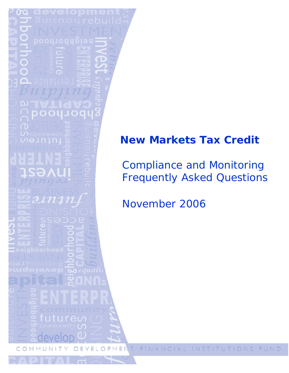# **New Markets Tax Credit**

*Compliance and Monitoring Frequently Asked Questions* 

*November 2006* 

FINAN ME Τ INSTITUTIONS FUND  $\circ$ ΕL  $\bigcap$ 1 A L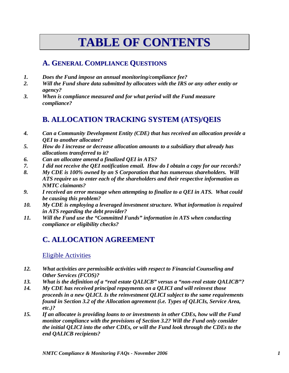# **TABLE OF CONTENTS**

# **A. GENERAL COMPLIANCE QUESTIONS**

- *1. Does the Fund impose an annual monitoring/compliance fee?*
- *2. Will the Fund share data submitted by allocatees with the IRS or any other entity or agency?*
- *3. When is compliance measured and for what period will the Fund measure compliance?*

# **B. ALLOCATION TRACKING SYSTEM (ATS)/QEIS**

- *4. Can a Community Development Entity (CDE) that has received an allocation provide a QEI to another allocatee?*
- *5. How do I increase or decrease allocation amounts to a subsidiary that already has allocations transferred to it?*
- *6. Can an allocatee amend a finalized QEI in ATS?*
- *7. I did not receive the QEI notification email. How do I obtain a copy for our records?*
- *8. My CDE is 100% owned by an S Corporation that has numerous shareholders. Will ATS require us to enter each of the shareholders and their respective information as NMTC claimants?*
- *9. I received an error message when attempting to finalize to a QEI in ATS. What could be causing this problem?*
- *10. My CDE is employing a leveraged investment structure. What information is required in ATS regarding the debt provider?*
- *11. Will the Fund use the "Committed Funds" information in ATS when conducting compliance or eligibility checks?*

# **C. ALLOCATION AGREEMENT**

### Eligible Activities

- *12. What activities are permissible activities with respect to Financial Counseling and Other Services (FCOS)?*
- *13. What is the definition of a "real estate QALICB" versus a "non-real estate QALICB"?*
- *14. My CDE has received principal repayments on a QLICI and will reinvest those proceeds in a new QLICI. Is the reinvestment QLICI subject to the same requirements found in Section 3.2 of the Allocation agreement (i.e. Types of QLICIs, Service Area, etc.)?*
- *15. If an allocatee is providing loans to or investments in other CDEs, how will the Fund monitor compliance with the provisions of Section 3.2? Will the Fund only consider the initial QLICI into the other CDEs, or will the Fund look through the CDEs to the end QALICB recipients?*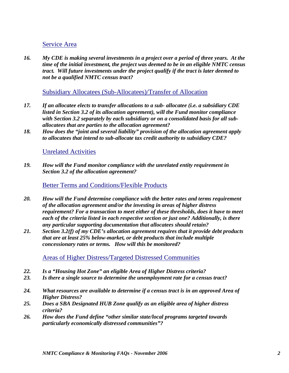#### Service Area

*16. My CDE is making several investments in a project over a period of three years. At the time of the initial investment, the project was deemed to be in an eligible NMTC census tract. Will future investments under the project qualify if the tract is later deemed to not be a qualified NMTC census tract?* 

#### Subsidiary Allocatees (Sub-Allocatees)/Transfer of Allocation

- *17. If an allocatee elects to transfer allocations to a sub- allocatee (i.e. a subsidiary CDE listed in Section 3.2 of its allocation agreement), will the Fund monitor compliance with Section 3.2 separately by each subsidiary or on a consolidated basis for all suballocatees that are parties to the allocation agreement?*
- *18. How does the "joint and several liability" provision of the allocation agreement apply to allocatees that intend to sub-allocate tax credit authority to subsidiary CDE?*

#### Unrelated Activities

*19. How will the Fund monitor compliance with the unrelated entity requirement in Section 3.2 of the allocation agreement?* 

#### Better Terms and Conditions/Flexible Products

- *20. How will the Fund determine compliance with the better rates and terms requirement of the allocation agreement and/or the investing in areas of higher distress requirement? For a transaction to meet either of these thresholds, does it have to meet each of the criteria listed in each respective section or just one? Additionally, is there any particular supporting documentation that allocatees should retain?*
- *21. Section 3.2(f) of my CDE's allocation agreement requires that it provide debt products that are at least 25% below-market, or debt products that include multiple concessionary rates or terms. How will this be monitored?*

Areas of Higher Distress/Targeted Distressed Communities

- *22. Is a "Housing Hot Zone" an eligible Area of Higher Distress criteria?*
- *23. Is there a single source to determine the unemployment rate for a census tract?*
- *24. What resources are available to determine if a census tract is in an approved Area of Higher Distress?*
- *25. Does a SBA Designated HUB Zone qualify as an eligible area of higher distress criteria?*
- *26. How does the Fund define "other similar state/local programs targeted towards particularly economically distressed communities"?*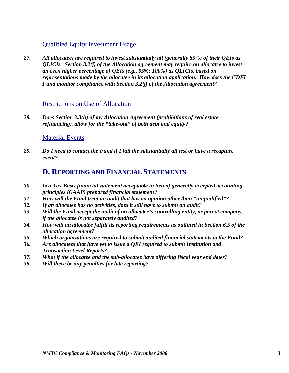### Qualified Equity Investment Usage

*27. All allocatees are required to invest substantially all (generally 85%) of their QEIs as QLICIs. Section 3.2(j) of the Allocation agreement may require an allocatee to invest an even higher percentage of QEIs (e.g., 95%; 100%) as QLICIs, based on representations made by the allocatee in its allocation application. How does the CDFI Fund monitor compliance with Section 3.2(j) of the Allocation agreement?* 

#### Restrictions on Use of Allocation

*28. Does Section 3.3(h) of my Allocation Agreement (prohibitions of real estate refinancing), allow for the "take-out" of both debt and equity?* 

#### Material Events

*29. Do I need to contact the Fund if I fail the substantially all test or have a recapture event?* 

### **D. REPORTING AND FINANCIAL STATEMENTS**

- *30. Is a Tax Basis financial statement acceptable in lieu of generally accepted accounting principles (GAAP) prepared financial statement?*
- *31. How will the Fund treat an audit that has an opinion other than "unqualified"?*
- *32. If an allocatee has no activities, does it still have to submit an audit?*
- *33. Will the Fund accept the audit of an allocatee's controlling entity, or parent company, if the allocatee is not separately audited?*
- *34. How will an allocatee fulfill its reporting requirements as outlined in Section 6.5 of the allocation agreement?*
- *35. Which organizations are required to submit audited financial statements to the Fund?*
- *36. Are allocatees that have yet to issue a QEI required to submit Institution and Transaction Level Reports?*
- *37. What if the allocatee and the sub-allocatee have differing fiscal year end dates?*
- *38. Will there be any penalties for late reporting?*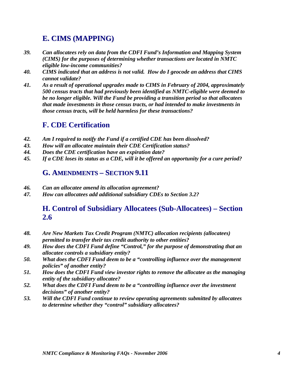# **E. CIMS (MAPPING)**

- *39. Can allocatees rely on data from the CDFI Fund's Information and Mapping System (CIMS) for the purposes of determining whether transactions are located in NMTC eligible low-income communities?*
- *40. CIMS indicated that an address is not valid. How do I geocode an address that CIMS cannot validate?*
- *41. As a result of operational upgrades made to CIMS in February of 2004, approximately 500 census tracts that had previously been identified as NMTC-eligible were deemed to be no longer eligible. Will the Fund be providing a transition period so that allocatees that made investments in those census tracts, or had intended to make investments in those census tracts, will be held harmless for these transactions?*

# **F. CDE Certification**

- *42. Am I required to notify the Fund if a certified CDE has been dissolved?*
- *43. How will an allocatee maintain their CDE Certification status?*
- *44. Does the CDE certification have an expiration date?*
- *45. If a CDE loses its status as a CDE, will it be offered an opportunity for a cure period?*

## **G. AMENDMENTS – SECTION 9.11**

- *46. Can an allocatee amend its allocation agreement?*
- *47. How can allocatees add additional subsidiary CDEs to Section 3.2?*

## **H. Control of Subsidiary Allocatees (Sub-Allocatees) – Section 2.6**

- *48. Are New Markets Tax Credit Program (NMTC) allocation recipients (allocatees) permitted to transfer their tax credit authority to other entities?*
- *49. How does the CDFI Fund define "Control," for the purpose of demonstrating that an allocatee controls a subsidiary entity?*
- *50. What does the CDFI Fund deem to be a "controlling influence over the management policies" of another entity?*
- *51. How does the CDFI Fund view investor rights to remove the allocatee as the managing entity of the subsidiary allocatee?*
- *52. What does the CDFI Fund deem to be a "controlling influence over the investment decisions" of another entity?*
- *53. Will the CDFI Fund continue to review operating agreements submitted by allocatees to determine whether they "control" subsidiary allocatees?*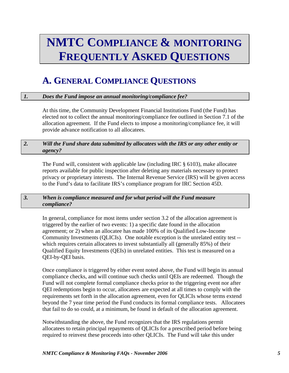# **NMTC COMPLIANCE & MONITORING FREQUENTLY ASKED QUESTIONS**

# **A. GENERAL COMPLIANCE QUESTIONS**

#### *1. Does the Fund impose an annual monitoring/compliance fee?*

At this time, the Community Development Financial Institutions Fund (the Fund) has elected not to collect the annual monitoring/compliance fee outlined in Section 7.1 of the allocation agreement. If the Fund elects to impose a monitoring/compliance fee, it will provide advance notification to all allocatees.

#### *2. Will the Fund share data submitted by allocatees with the IRS or any other entity or agency?*

The Fund will, consistent with applicable law (including IRC § 6103), make allocatee reports available for public inspection after deleting any materials necessary to protect privacy or proprietary interests. The Internal Revenue Service (IRS) will be given access to the Fund's data to facilitate IRS's compliance program for IRC Section 45D.

#### *3. When is compliance measured and for what period will the Fund measure compliance?*

In general, compliance for most items under section 3.2 of the allocation agreement is triggered by the earlier of two events: 1) a specific date found in the allocation agreement; or 2) when an allocatee has made 100% of its Qualified Low-Income Community Investments (QLICIs). One notable exception is the unrelated entity test - which requires certain allocatees to invest substantially all (generally 85%) of their Qualified Equity Investments (QEIs) in unrelated entities. This test is measured on a QEI-by-QEI basis.

Once compliance is triggered by either event noted above, the Fund will begin its annual compliance checks, and will continue such checks until QEIs are redeemed. Though the Fund will not complete formal compliance checks prior to the triggering event nor after QEI redemptions begin to occur, allocatees are expected at all times to comply with the requirements set forth in the allocation agreement, even for QLICIs whose terms extend beyond the 7 year time period the Fund conducts its formal compliance tests. Allocatees that fail to do so could, at a minimum, be found in default of the allocation agreement.

Notwithstanding the above, the Fund recognizes that the IRS regulations permit allocatees to retain principal repayments of QLICIs for a prescribed period before being required to reinvest these proceeds into other QLICIs. The Fund will take this under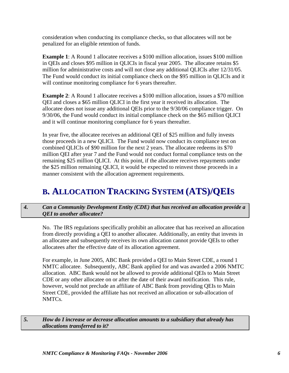consideration when conducting its compliance checks, so that allocatees will not be penalized for an eligible retention of funds.

**Example 1**: A Round 1 allocatee receives a \$100 million allocation, issues \$100 million in QEIs and closes \$95 million in QLICIs in fiscal year 2005. The allocatee retains \$5 million for administrative costs and will not close any additional QLICIs after 12/31/05. The Fund would conduct its initial compliance check on the \$95 million in QLICIs and it will continue monitoring compliance for 6 years thereafter.

**Example 2**: A Round 1 allocatee receives a \$100 million allocation, issues a \$70 million QEI and closes a \$65 million QLICI in the first year it received its allocation. The allocatee does not issue any additional QEIs prior to the 9/30/06 compliance trigger. On 9/30/06, the Fund would conduct its initial compliance check on the \$65 million QLICI and it will continue monitoring compliance for 6 years thereafter.

In year five, the allocatee receives an additional QEI of \$25 million and fully invests those proceeds in a new QLICI. The Fund would now conduct its compliance test on combined QLICIs of \$90 million for the next 2 years. The allocatee redeems its \$70 million QEI after year 7 and the Fund would not conduct formal compliance tests on the remaining \$25 million QLICI. At this point, if the allocatee receives repayments under the \$25 million remaining QLICI, it would be expected to reinvest those proceeds in a manner consistent with the allocation agreement requirements.

# **B. ALLOCATION TRACKING SYSTEM (ATS)/QEIS**

*4. Can a Community Development Entity (CDE) that has received an allocation provide a QEI to another allocatee?* 

No. The IRS regulations specifically prohibit an allocatee that has received an allocation from directly providing a QEI to another allocatee. Additionally, an entity that invests in an allocatee and subsequently receives its own allocation cannot provide QEIs to other allocatees after the effective date of its allocation agreement.

For example, in June 2005, ABC Bank provided a QEI to Main Street CDE, a round 1 NMTC allocatee. Subsequently, ABC Bank applied for and was awarded a 2006 NMTC allocation. ABC Bank would not be allowed to provide additional QEIs to Main Street CDE or any other allocatee on or after the date of their award notification. This rule, however, would not preclude an affiliate of ABC Bank from providing QEIs to Main Street CDE, provided the affiliate has not received an allocation or sub-allocation of NMTCs.

*5. How do I increase or decrease allocation amounts to a subsidiary that already has allocations transferred to it?*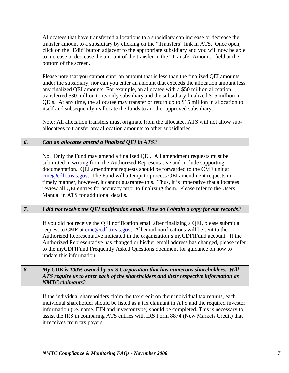Allocatees that have transferred allocations to a subsidiary can increase or decrease the transfer amount to a subsidiary by clicking on the "Transfers" link in ATS. Once open, click on the "Edit" button adjacent to the appropriate subsidiary and you will now be able to increase or decrease the amount of the transfer in the "Transfer Amount" field at the bottom of the screen.

Please note that you cannot enter an amount that is less than the finalized QEI amounts under the subsidiary, nor can you enter an amount that exceeds the allocation amount less any finalized QEI amounts. For example, an allocatee with a \$50 million allocation transferred \$30 million to its only subsidiary and the subsidiary finalized \$15 million in QEIs. At any time, the allocatee may transfer or return up to \$15 million in allocation to itself and subsequently reallocate the funds to another approved subsidiary.

Note: All allocation transfers must originate from the allocatee. ATS will not allow suballocatees to transfer any allocation amounts to other subsidiaries.

#### *6. Can an allocatee amend a finalized QEI in ATS?*

No. Only the Fund may amend a finalized QEI. All amendment requests must be submitted in writing from the Authorized Representative and include supporting documentation. QEI amendment requests should be forwarded to the CME unit at [cme@cdfi.treas.gov](mailto:cme@cdfi.treas.gov). The Fund will attempt to process QEI amendment requests in timely manner, however, it cannot guarantee this. Thus, it is imperative that allocatees review all QEI entries for accuracy prior to finalizing them. Please refer to the Users Manual in ATS for additional details.

#### *7. I did not receive the QEI notification email. How do I obtain a copy for our records?*

If you did not receive the QEI notification email after finalizing a QEI, please submit a request to CME at [cme@cdfi.treas.gov.](mailto:cme@cdfi.treas.gov) All email notifications will be sent to the Authorized Representative indicated in the organization's myCDFIFund account. If the Authorized Representative has changed or his/her email address has changed, please refer to the myCDFIFund Frequently Asked Questions document for guidance on how to update this information.

#### *8. My CDE is 100% owned by an S Corporation that has numerous shareholders. Will ATS require us to enter each of the shareholders and their respective information as NMTC claimants?*

If the individual shareholders claim the tax credit on their individual tax returns, each individual shareholder should be listed as a tax claimant in ATS and the required investor information (i.e. name, EIN and investor type) should be completed. This is necessary to assist the IRS in comparing ATS entries with IRS Form 8874 (New Markets Credit) that it receives from tax payers.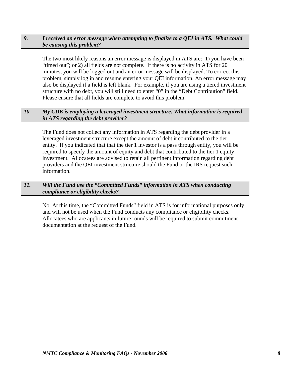#### *9. I received an error message when attempting to finalize to a QEI in ATS. What could be causing this problem?*

The two most likely reasons an error message is displayed in ATS are: 1) you have been "timed out"; or 2) all fields are not complete. If there is no activity in ATS for 20 minutes, you will be logged out and an error message will be displayed. To correct this problem, simply log in and resume entering your QEI information. An error message may also be displayed if a field is left blank. For example, if you are using a tiered investment structure with no debt, you will still need to enter "0" in the "Debt Contribution" field. Please ensure that all fields are complete to avoid this problem.

#### *10. My CDE is employing a leveraged investment structure. What information is required in ATS regarding the debt provider?*

The Fund does not collect any information in ATS regarding the debt provider in a leveraged investment structure except the amount of debt it contributed to the tier 1 entity. If you indicated that that the tier 1 investor is a pass through entity, you will be required to specify the amount of equity and debt that contributed to the tier 1 equity investment. Allocatees are advised to retain all pertinent information regarding debt providers and the QEI investment structure should the Fund or the IRS request such information.

#### *11. Will the Fund use the "Committed Funds" information in ATS when conducting compliance or eligibility checks?*

No. At this time, the "Committed Funds" field in ATS is for informational purposes only and will not be used when the Fund conducts any compliance or eligibility checks. Allocatees who are applicants in future rounds will be required to submit commitment documentation at the request of the Fund.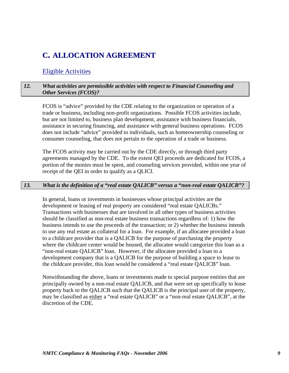# **C. ALLOCATION AGREEMENT**

#### Eligible Activities

#### *12. What activities are permissible activities with respect to Financial Counseling and Other Services (FCOS)?*

FCOS is "advice" provided by the CDE relating to the organization or operation of a trade or business, including non-profit organizations. Possible FCOS activities include, but are not limited to, business plan development, assistance with business financials, assistance in securing financing, and assistance with general business operations. FCOS does not include "advice" provided to individuals, such as homeownership counseling or consumer counseling, that does not pertain to the operation of a trade or business.

The FCOS activity may be carried out by the CDE directly, or through third party agreements managed by the CDE. To the extent QEI proceeds are dedicated for FCOS, a portion of the monies must be spent, and counseling services provided, within one year of receipt of the QEI in order to qualify as a QLICI.

#### *13. What is the definition of a "real estate QALICB" versus a "non-real estate QALICB"?*

In general, loans or investments in businesses whose principal activities are the development or leasing of real property are considered "real estate QALICBs." Transactions with businesses that are involved in all other types of business activities should be classified as non-real estate business transactions regardless of: 1) how the business intends to use the proceeds of the transaction; or 2) whether the business intends to use any real estate as collateral for a loan. For example, if an allocatee provided a loan to a childcare provider that is a QALICB for the purpose of purchasing the property where the childcare center would be housed, the allocatee would categorize this loan as a "non-real estate QALICB" loan. However, if the allocatee provided a loan to a development company that is a QALICB for the purpose of building a space to lease to the childcare provider, this loan would be considered a "real estate QALICB" loan.

Notwithstanding the above, loans or investments made to special purpose entities that are principally owned by a non-real estate QALICB, and that were set up specifically to lease property back to the QALICB such that the QALICB is the principal user of the property, may be classified as either a "real estate QALICB" or a "non-real estate QALICB", at the discretion of the CDE.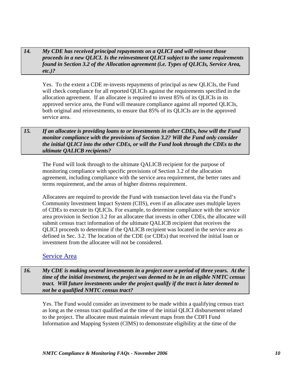#### *14. My CDE has received principal repayments on a QLICI and will reinvest those proceeds in a new QLICI. Is the reinvestment QLICI subject to the same requirements found in Section 3.2 of the Allocation agreement (i.e. Types of QLICIs, Service Area, etc.)?*

Yes. To the extent a CDE re-invests repayments of principal as new QLICIs, the Fund will check compliance for all reported QLICIs against the requirements specified in the allocation agreement. If an allocatee is required to invest 85% of its QLICIs in its approved service area, the Fund will measure compliance against all reported QLICIs, both original and reinvestments, to ensure that 85% of its QLICIs are in the approved service area.

#### *15. If an allocatee is providing loans to or investments in other CDEs, how will the Fund monitor compliance with the provisions of Section 3.2? Will the Fund only consider the initial QLICI into the other CDEs, or will the Fund look through the CDEs to the ultimate QALICB recipients?*

The Fund will look through to the ultimate QALICB recipient for the purpose of monitoring compliance with specific provisions of Section 3.2 of the allocation agreement, including compliance with the service area requirement, the better rates and terms requirement, and the areas of higher distress requirement.

Allocatees are required to provide the Fund with transaction level data via the Fund's Community Investment Impact System (CIIS), even if an allocatee uses multiple layers of CDEs to execute its QLICIs. For example, to determine compliance with the service area provision in Section 3.2 for an allocatee that invests in other CDEs, the allocatee will submit census tract information of the ultimate QALICB recipient that receives the QLICI proceeds to determine if the QALICB recipient was located in the service area as defined in Sec. 3.2. The location of the CDE (or CDEs) that received the initial loan or investment from the allocatee will not be considered.

### Service Area

*16. My CDE is making several investments in a project over a period of three years. At the time of the initial investment, the project was deemed to be in an eligible NMTC census tract. Will future investments under the project qualify if the tract is later deemed to not be a qualified NMTC census tract?* 

Yes. The Fund would consider an investment to be made within a qualifying census tract as long as the census tract qualified at the time of the initial QLICI disbursement related to the project. The allocatee must maintain relevant maps from the CDFI Fund Information and Mapping System (CIMS) to demonstrate eligibility at the time of the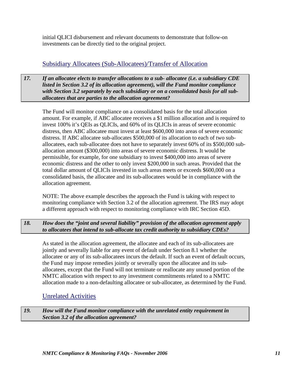initial QLICI disbursement and relevant documents to demonstrate that follow-on investments can be directly tied to the original project.

### Subsidiary Allocatees (Sub-Allocatees)/Transfer of Allocation

*17. If an allocatee elects to transfer allocations to a sub- allocatee (i.e. a subsidiary CDE listed in Section 3.2 of its allocation agreement), will the Fund monitor compliance with Section 3.2 separately by each subsidiary or on a consolidated basis for all suballocatees that are parties to the allocation agreement?* 

The Fund will monitor compliance on a consolidated basis for the total allocation amount. For example, if ABC allocatee receives a \$1 million allocation and is required to invest 100% it's QEIs as QLICIs, and 60% of its QLICIs in areas of severe economic distress, then ABC allocatee must invest at least \$600,000 into areas of severe economic distress. If ABC allocatee sub-allocates \$500,000 of its allocation to each of two suballocatees, each sub-allocatee does not have to separately invest 60% of its \$500,000 suballocation amount (\$300,000) into areas of severe economic distress. It would be permissible, for example, for one subsidiary to invest \$400,000 into areas of severe economic distress and the other to only invest \$200,000 in such areas. Provided that the total dollar amount of QLICIs invested in such areas meets or exceeds \$600,000 on a consolidated basis, the allocatee and its sub-allocatees would be in compliance with the allocation agreement.

NOTE: The above example describes the approach the Fund is taking with respect to monitoring compliance with Section 3.2 of the allocation agreement. The IRS may adopt a different approach with respect to monitoring compliance with IRC Section 45D.

#### *18. How does the "joint and several liability" provision of the allocation agreement apply to allocatees that intend to sub-allocate tax credit authority to subsidiary CDEs?*

As stated in the allocation agreement, the allocatee and each of its sub-allocatees are jointly and severally liable for any event of default under Section 8.1 whether the allocatee or any of its sub-allocatees incurs the default. If such an event of default occurs, the Fund may impose remedies jointly or severally upon the allocatee and its suballocatees, except that the Fund will not terminate or reallocate any unused portion of the NMTC allocation with respect to any investment commitments related to a NMTC allocation made to a non-defaulting allocatee or sub-allocatee, as determined by the Fund.

### Unrelated Activities

#### *19. How will the Fund monitor compliance with the unrelated entity requirement in Section 3.2 of the allocation agreement?*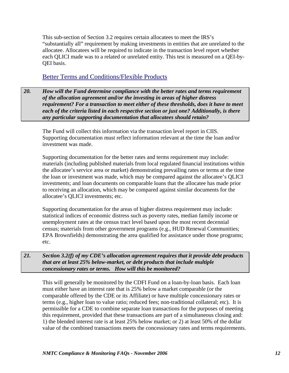This sub-section of Section 3.2 requires certain allocatees to meet the IRS's "substantially all" requirement by making investments in entities that are unrelated to the allocatee. Allocatees will be required to indicate in the transaction level report whether each QLICI made was to a related or unrelated entity. This test is measured on a QEI-by-QEI basis.

#### Better Terms and Conditions/Flexible Products

*20. How will the Fund determine compliance with the better rates and terms requirement of the allocation agreement and/or the investing in areas of higher distress requirement? For a transaction to meet either of these thresholds, does it have to meet each of the criteria listed in each respective section or just one? Additionally, is there any particular supporting documentation that allocatees should retain?* 

The Fund will collect this information via the transaction level report in CIIS. Supporting documentation must reflect information relevant at the time the loan and/or investment was made.

Supporting documentation for the better rates and terms requirement may include: materials (including published materials from local regulated financial institutions within the allocatee's service area or market) demonstrating prevailing rates or terms at the time the loan or investment was made, which may be compared against the allocatee's QLICI investments; and loan documents on comparable loans that the allocatee has made prior to receiving an allocation, which may be compared against similar documents for the allocatee's QLICI investments; etc.

Supporting documentation for the areas of higher distress requirement may include: statistical indices of economic distress such as poverty rates, median family income or unemployment rates at the census tract level based upon the most recent decennial census; materials from other government programs (e.g., HUD Renewal Communities; EPA Brownfields) demonstrating the area qualified for assistance under those programs; etc.

*21. Section 3.2(f) of my CDE's allocation agreement requires that it provide debt products that are at least 25% below-market, or debt products that include multiple concessionary rates or terms. How will this be monitored?*

This will generally be monitored by the CDFI Fund on a loan-by-loan basis. Each loan must either have an interest rate that is 25% below a market comparable (or the comparable offered by the CDE or its Affiliate) or have multiple concessionary rates or terms (e.g., higher loan to value ratio; reduced fees; non-traditional collateral; etc). It is permissible for a CDE to combine separate loan transactions for the purposes of meeting this requirement, provided that these transactions are part of a simultaneous closing and: 1) the blended interest rate is at least 25% below market; or 2) at least 50% of the dollar value of the combined transactions meets the concessionary rates and terms requirements.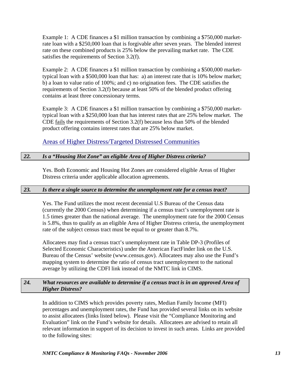Example 1: A CDE finances a \$1 million transaction by combining a \$750,000 marketrate loan with a \$250,000 loan that is forgivable after seven years. The blended interest rate on these combined products is 25% below the prevailing market rate. The CDE satisfies the requirements of Section 3.2(f).

Example 2: A CDE finances a \$1 million transaction by combining a \$500,000 markettypical loan with a \$500,000 loan that has: a) an interest rate that is 10% below market; b) a loan to value ratio of 100%; and c) no origination fees. The CDE satisfies the requirements of Section 3.2(f) because at least 50% of the blended product offering contains at least three concessionary terms.

Example 3: A CDE finances a \$1 million transaction by combining a \$750,000 markettypical loan with a \$250,000 loan that has interest rates that are 25% below market. The CDE fails the requirements of Section 3.2(f) because less than 50% of the blended product offering contains interest rates that are 25% below market.

### Areas of Higher Distress/Targeted Distressed Communities

#### *22. Is a "Housing Hot Zone" an eligible Area of Higher Distress criteria?*

Yes. Both Economic and Housing Hot Zones are considered eligible Areas of Higher Distress criteria under applicable allocation agreements.

#### *23. Is there a single source to determine the unemployment rate for a census tract?*

Yes. The Fund utilizes the most recent decennial U.S Bureau of the Census data (currently the 2000 Census) when determining if a census tract's unemployment rate is 1.5 times greater than the national average. The unemployment rate for the 2000 Census is 5.8%, thus to qualify as an eligible Area of Higher Distress criteria, the unemployment rate of the subject census tract must be equal to or greater than 8.7%.

Allocatees may find a census tract's unemployment rate in Table DP-3 (Profiles of Selected Economic Characteristics) under the American FactFinder link on the U.S. Bureau of the Census' website (www.census.gov). Allocatees may also use the Fund's mapping system to determine the ratio of census tract unemployment to the national average by utilizing the CDFI link instead of the NMTC link in CIMS.

#### *24. What resources are available to determine if a census tract is in an approved Area of Higher Distress?*

In addition to CIMS which provides poverty rates, Median Family Income (MFI) percentages and unemployment rates, the Fund has provided several links on its website to assist allocatees (links listed below). Please visit the "Compliance Monitoring and Evaluation" link on the Fund's website for details. Allocatees are advised to retain all relevant information in support of its decision to invest in such areas. Links are provided to the following sites: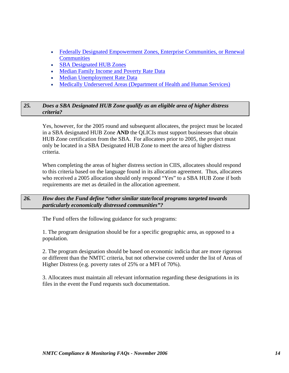- [Federally Designated Empowerment Zones, Enterprise Communities, or Renewal](http://www.cdfifund.gov/cdfi_links/redirect.asp?destination=http://www.hud.gov/offices/cpd/economicdevelopment/programs/rc/index.cfm)  **[Communities](http://www.cdfifund.gov/cdfi_links/redirect.asp?destination=http://www.hud.gov/offices/cpd/economicdevelopment/programs/rc/index.cfm)**
- [SBA Designated HUB Zones](http://www.cdfifund.gov/cdfi_links/redirect.asp?destination=https://eweb1.sba.gov/hubzone/internet/)
- [Median Family Income and Poverty Rate Data](http://www.cdfifund.gov/cdfi_links/redirect.asp?destination=http://www.ffiec.gov/geocode/default.htm)
- [Median Unemployment Rate Data](http://www.cdfifund.gov/cdfi_links/redirect.asp?destination=http://factfinder.census.gov/home/saff/main.html?_lang=en)
- [Medically Underserved Areas \(Department of Health and Human Services\)](http://www.cdfifund.gov/cdfi_links/redirect.asp?destination=http://bphc.hrsa.gov/databases/newmua/)

#### *25. Does a SBA Designated HUB Zone qualify as an eligible area of higher distress criteria?*

Yes, however, for the 2005 round and subsequent allocatees, the project must be located in a SBA designated HUB Zone **AND** the QLICIs must support businesses that obtain HUB Zone certification from the SBA. For allocatees prior to 2005, the project must only be located in a SBA Designated HUB Zone to meet the area of higher distress criteria.

When completing the areas of higher distress section in CIIS, allocatees should respond to this criteria based on the language found in its allocation agreement. Thus, allocatees who received a 2005 allocation should only respond "Yes" to a SBA HUB Zone if both requirements are met as detailed in the allocation agreement.

#### *26. How does the Fund define "other similar state/local programs targeted towards particularly economically distressed communities"?*

The Fund offers the following guidance for such programs:

1. The program designation should be for a specific geographic area, as opposed to a population.

2. The program designation should be based on economic indicia that are more rigorous or different than the NMTC criteria, but not otherwise covered under the list of Areas of Higher Distress (e.g. poverty rates of 25% or a MFI of 70%).

3. Allocatees must maintain all relevant information regarding these designations in its files in the event the Fund requests such documentation.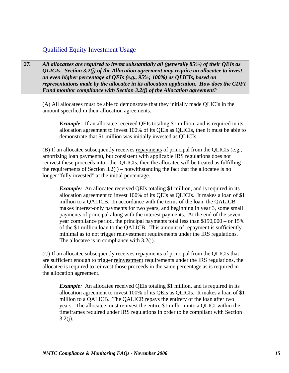### Qualified Equity Investment Usage

*27. All allocatees are required to invest substantially all (generally 85%) of their QEIs as QLICIs. Section 3.2(j) of the Allocation agreement may require an allocatee to invest an even higher percentage of QEIs (e.g., 95%; 100%) as QLICIs, based on representations made by the allocatee in its allocation application. How does the CDFI Fund monitor compliance with Section 3.2(j) of the Allocation agreement?* 

(A) All allocatees must be able to demonstrate that they initially made QLICIs in the amount specified in their allocation agreements.

*Example*: If an allocatee received QEIs totaling \$1 million, and is required in its allocation agreement to invest 100% of its QEIs as QLICIs, then it must be able to demonstrate that \$1 million was initially invested as QLICIs.

(B) If an allocatee subsequently receives repayments of principal from the QLICIs (e.g., amortizing loan payments), but consistent with applicable IRS regulations does not reinvest these proceeds into other QLICIs, then the allocatee will be treated as fulfilling the requirements of Section  $3.2(i)$  – notwithstanding the fact that the allocatee is no longer "fully invested" at the initial percentage.

*Example:* An allocatee received QEIs totaling \$1 million, and is required in its allocation agreement to invest 100% of its QEIs as QLICIs. It makes a loan of \$1 million to a QALICB. In accordance with the terms of the loan, the QALICB makes interest-only payments for two years, and beginning in year 3, some small payments of principal along with the interest payments. At the end of the sevenyear compliance period, the principal payments total less than \$150,000 – or 15% of the \$1 million loan to the QALICB. This amount of repayment is sufficiently minimal as to not trigger reinvestment requirements under the IRS regulations. The allocatee is in compliance with 3.2(j).

(C) If an allocatee subsequently receives repayments of principal from the QLICIs that are sufficient enough to trigger reinvestment requirements under the IRS regulations, the allocatee is required to reinvest those proceeds in the same percentage as is required in the allocation agreement.

*Example*: An allocatee received QEIs totaling \$1 million, and is required in its allocation agreement to invest 100% of its QEIs as QLICIs. It makes a loan of \$1 million to a QALICB. The QALICB repays the entirety of the loan after two years. The allocatee must reinvest the entire \$1 million into a QLICI within the timeframes required under IRS regulations in order to be compliant with Section  $3.2(j)$ .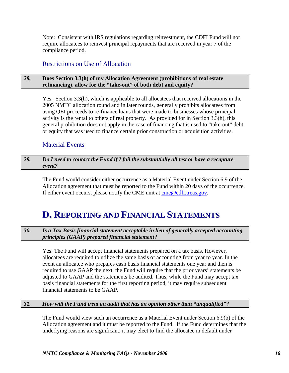Note: Consistent with IRS regulations regarding reinvestment, the CDFI Fund will not require allocatees to reinvest principal repayments that are received in year 7 of the compliance period.

### Restrictions on Use of Allocation

#### *28.* **Does Section 3.3(h) of my Allocation Agreement (prohibitions of real estate refinancing), allow for the "take-out" of both debt and equity?**

Yes. Section 3.3(h), which is applicable to all allocatees that received allocations in the 2005 NMTC allocation round and in later rounds, generally prohibits allocatees from using QEI proceeds to re-finance loans that were made to businesses whose principal activity is the rental to others of real property. As provided for in Section 3.3(h), this general prohibition does not apply in the case of financing that is used to "take-out" debt or equity that was used to finance certain prior construction or acquisition activities.

#### Material Events

#### *29. Do I need to contact the Fund if I fail the substantially all test or have a recapture event?*

The Fund would consider either occurrence as a Material Event under Section 6.9 of the Allocation agreement that must be reported to the Fund within 20 days of the occurrence. If either event occurs, please notify the CME unit at [cme@cdfi.treas.gov.](mailto:cme@cdfi.treas.gov)

# **D. REPORTING AND FINANCIAL STATEMENTS**

#### *30. Is a Tax Basis financial statement acceptable in lieu of generally accepted accounting principles (GAAP) prepared financial statement?*

Yes. The Fund will accept financial statements prepared on a tax basis. However, allocatees are required to utilize the same basis of accounting from year to year. In the event an allocatee who prepares cash basis financial statements one year and then is required to use GAAP the next, the Fund will require that the prior years' statements be adjusted to GAAP and the statements be audited. Thus, while the Fund may accept tax basis financial statements for the first reporting period, it may require subsequent financial statements to be GAAP.

#### *31. How will the Fund treat an audit that has an opinion other than "unqualified"?*

The Fund would view such an occurrence as a Material Event under Section 6.9(b) of the Allocation agreement and it must be reported to the Fund. If the Fund determines that the underlying reasons are significant, it may elect to find the allocatee in default under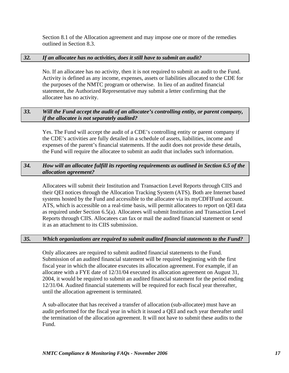Section 8.1 of the Allocation agreement and may impose one or more of the remedies outlined in Section 8.3.

#### *32. If an allocatee has no activities, does it still have to submit an audit?*

No. If an allocatee has no activity, then it is not required to submit an audit to the Fund. Activity is defined as any income, expenses, assets or liabilities allocated to the CDE for the purposes of the NMTC program or otherwise. In lieu of an audited financial statement, the Authorized Representative may submit a letter confirming that the allocatee has no activity.

#### *33. Will the Fund accept the audit of an allocatee's controlling entity, or parent company, if the allocatee is not separately audited?*

Yes. The Fund will accept the audit of a CDE's controlling entity or parent company if the CDE's activities are fully detailed in a schedule of assets, liabilities, income and expenses of the parent's financial statements. If the audit does not provide these details, the Fund will require the allocatee to submit an audit that includes such information.

#### *34. How will an allocatee fulfill its reporting requirements as outlined in Section 6.5 of the allocation agreement?*

Allocatees will submit their Institution and Transaction Level Reports through CIIS and their QEI notices through the Allocation Tracking System (ATS). Both are Internet based systems hosted by the Fund and accessible to the allocatee via its myCDFIFund account. ATS, which is accessible on a real-time basis, will permit allocatees to report on QEI data as required under Section 6.5(a). Allocatees will submit Institution and Transaction Level Reports through CIIS. Allocatees can fax or mail the audited financial statement or send it as an attachment to its CIIS submission.

#### *35. Which organizations are required to submit audited financial statements to the Fund?*

Only allocatees are required to submit audited financial statements to the Fund. Submission of an audited financial statement will be required beginning with the first fiscal year in which the allocatee executes its allocation agreement. For example, if an allocatee with a FYE date of 12/31/04 executed its allocation agreement on August 31, 2004, it would be required to submit an audited financial statement for the period ending 12/31/04. Audited financial statements will be required for each fiscal year thereafter, until the allocation agreement is terminated.

A sub-allocatee that has received a transfer of allocation (sub-allocatee) must have an audit performed for the fiscal year in which it issued a QEI and each year thereafter until the termination of the allocation agreement. It will not have to submit these audits to the Fund.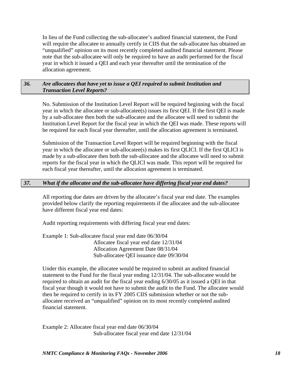In lieu of the Fund collecting the sub-allocatee's audited financial statement, the Fund will require the allocatee to annually certify in CIIS that the sub-allocatee has obtained an "unqualified" opinion on its most recently completed audited financial statement. Please note that the sub-allocatee will only be required to have an audit performed for the fiscal year in which it issued a QEI and each year thereafter until the termination of the allocation agreement.

#### *36. Are allocatees that have yet to issue a QEI required to submit Institution and Transaction Level Reports?*

No. Submission of the Institution Level Report will be required beginning with the fiscal year in which the allocatee or sub-allocatee(s) issues its first QEI. If the first QEI is made by a sub-allocatee then both the sub-allocatee and the allocatee will need to submit the Institution Level Report for the fiscal year in which the QEI was made. These reports will be required for each fiscal year thereafter, until the allocation agreement is terminated.

Submission of the Transaction Level Report will be required beginning with the fiscal year in which the allocatee or sub-allocatee(s) makes its first QLICI. If the first QLICI is made by a sub-allocatee then both the sub-allocatee and the allocatee will need to submit reports for the fiscal year in which the QLICI was made. This report will be required for each fiscal year thereafter, until the allocation agreement is terminated.

#### *37. What if the allocatee and the sub-allocatee have differing fiscal year end dates?*

All reporting due dates are driven by the allocatee's fiscal year end date. The examples provided below clarify the reporting requirements if the allocatee and the sub-allocatee have different fiscal year end dates:

Audit reporting requirements with differing fiscal year end dates:

Example 1: Sub-allocatee fiscal year end date 06/30/04 Allocatee fiscal year end date 12/31/04 Allocation Agreement Date 08/31/04 Sub-allocatee QEI issuance date 09/30/04

Under this example, the allocatee would be required to submit an audited financial statement to the Fund for the fiscal year ending 12/31/04. The sub-allocatee would be required to obtain an audit for the fiscal year ending 6/30/05 as it issued a QEI in that fiscal year though it would not have to submit the audit to the Fund. The allocatee would then be required to certify in its FY 2005 CIIS submission whether or not the suballocatee received an "unqualified" opinion on its most recently completed audited financial statement.

Example 2: Allocatee fiscal year end date 06/30/04 Sub-allocatee fiscal year end date 12/31/04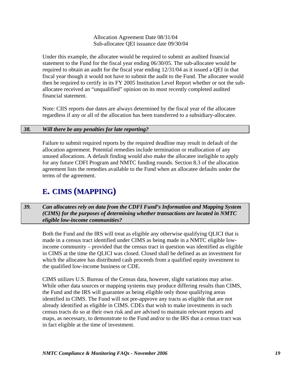Allocation Agreement Date 08/31/04 Sub-allocatee QEI issuance date 09/30/04

Under this example, the allocatee would be required to submit an audited financial statement to the Fund for the fiscal year ending 06/30/05. The sub-allocatee would be required to obtain an audit for the fiscal year ending 12/31/04 as it issued a QEI in that fiscal year though it would not have to submit the audit to the Fund. The allocatee would then be required to certify in its FY 2005 Institution Level Report whether or not the suballocatee received an "unqualified" opinion on its most recently completed audited financial statement.

Note: CIIS reports due dates are always determined by the fiscal year of the allocatee regardless if any or all of the allocation has been transferred to a subsidiary-allocatee.

#### *38. Will there be any penalties for late reporting?*

Failure to submit required reports by the required deadline may result in default of the allocation agreement. Potential remedies include termination or reallocation of any unused allocations. A default finding would also make the allocatee ineligible to apply for any future CDFI Program and NMTC funding rounds. Section 8.3 of the allocation agreement lists the remedies available to the Fund when an allocatee defaults under the terms of the agreement.

# **E. CIMS (MAPPING)**

*39. Can allocatees rely on data from the CDFI Fund's Information and Mapping System (CIMS) for the purposes of determining whether transactions are located in NMTC eligible low-income communities?* 

Both the Fund and the IRS will treat as eligible any otherwise qualifying QLICI that is made in a census tract identified under CIMS as being made in a NMTC eligible lowincome community – provided that the census tract in question was identified as eligible in CIMS at the time the QLICI was closed. Closed shall be defined as an investment for which the allocatee has distributed cash proceeds from a qualified equity investment to the qualified low-income business or CDE.

CIMS utilizes U.S. Bureau of the Census data, however, slight variations may arise. While other data sources or mapping systems may produce differing results than CIMS, the Fund and the IRS will guarantee as being eligible only those qualifying areas identified in CIMS. The Fund will not pre-approve any tracts as eligible that are not already identified as eligible in CIMS. CDEs that wish to make investments in such census tracts do so at their own risk and are advised to maintain relevant reports and maps, as necessary, to demonstrate to the Fund and/or to the IRS that a census tract was in fact eligible at the time of investment.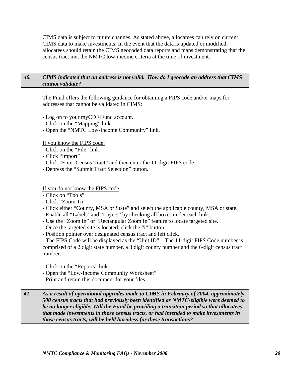CIMS data is subject to future changes. As stated above, allocatees can rely on current CIMS data to make investments. In the event that the data is updated or modified, allocatees should retain the CIMS geocoded data reports and maps demonstrating that the census tract met the NMTC low-income criteria at the time of investment.

#### *40. CIMS indicated that an address is not valid. How do I geocode an address that CIMS cannot validate?*

The Fund offers the following guidance for obtaining a FIPS code and/or maps for addresses that cannot be validated in CIMS:

- Log on to your myCDFIFund account.
- Click on the "Mapping" link.
- Open the "NMTC Low-Income Community" link.

If you know the FIPS code:

- Click on the "File" link
- Click "Import"
- Click "Enter Census Tract" and then enter the 11-digit FIPS code
- Depress the "Submit Tract Selection" button.

#### If you do not know the FIPS code:

- Click on "Tools"
- Click "Zoom To"
- Click either "County, MSA or State" and select the applicable county, MSA or state.
- Enable all "Labels' and "Layers" by checking all boxes under each link.
- Use the "Zoom In" or "Rectangular Zoom In" feature to locate targeted site.
- Once the targeted site is located, click the "i" button.
- Position pointer over designated census tract and left click.

- The FIPS Code will be displayed as the "Unit ID". The 11-digit FIPS Code number is comprised of a 2 digit state number, a 3 digit county number and the 6-digit census tract number.

- Click on the "Reports" link.
- Open the "Low-Income Community Worksheet"
- Print and retain this document for your files.

*41. As a result of operational upgrades made to CIMS in February of 2004, approximately 500 census tracts that had previously been identified as NMTC-eligible were deemed to be no longer eligible. Will the Fund be providing a transition period so that allocatees that made investments in those census tracts, or had intended to make investments in those census tracts, will be held harmless for these transactions?*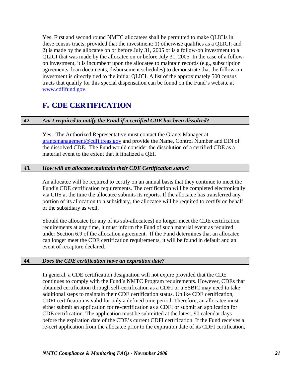Yes. First and second round NMTC allocatees shall be permitted to make QLICIs in these census tracts, provided that the investment: 1) otherwise qualifies as a QLICI; and 2) is made by the allocatee on or before July 31, 2005 or is a follow-on investment to a QLICI that was made by the allocatee on or before July 31, 2005. In the case of a followon investment, it is incumbent upon the allocatee to maintain records (e.g., subscription agreements, loan documents, disbursement schedules) to demonstrate that the follow-on investment is directly tied to the initial QLICI. A list of the approximately 500 census tracts that qualify for this special dispensation can be found on the Fund's website at www.cdfifund.gov.

## **F. CDE CERTIFICATION**

#### *42. Am I required to notify the Fund if a certified CDE has been dissolved?*

Yes. The Authorized Representative must contact the Grants Manager at [grantsmanagement@cdfi.treas.gov](mailto:grantsmanagmemnent@cdfi.treas.gov) and provide the Name, Control Number and EIN of the dissolved CDE. The Fund would consider the dissolution of a certified CDE as a material event to the extent that it finalized a QEI.

#### *43. How will an allocatee maintain their CDE Certification status?*

An allocatee will be required to certify on an annual basis that they continue to meet the Fund's CDE certification requirements. The certification will be completed electronically via CIIS at the time the allocatee submits its reports. If the allocatee has transferred any portion of its allocation to a subsidiary, the allocatee will be required to certify on behalf of the subsidiary as well.

Should the allocatee (or any of its sub-allocatees) no longer meet the CDE certification requirements at any time, it must inform the Fund of such material event as required under Section 6.9 of the allocation agreement. If the Fund determines that an allocatee can longer meet the CDE certification requirements, it will be found in default and an event of recapture declared.

#### *44. Does the CDE certification have an expiration date?*

In general, a CDE certification designation will not expire provided that the CDE continues to comply with the Fund's NMTC Program requirements. However, CDEs that obtained certification through self-certification as a CDFI or a SSBIC may need to take additional steps to maintain their CDE certification status. Unlike CDE certification, CDFI certification is valid for only a defined time period. Therefore, an allocatee must either submit an application for re-certification as a CDFI or submit an application for CDE certification. The application must be submitted at the latest, 90 calendar days before the expiration date of the CDE's current CDFI certification. If the Fund receives a re-cert application from the allocatee prior to the expiration date of its CDFI certification,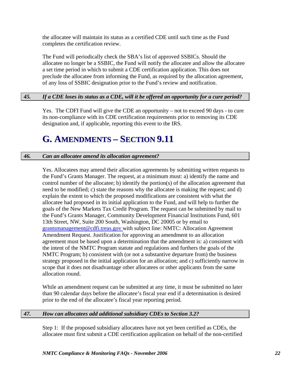the allocatee will maintain its status as a certified CDE until such time as the Fund completes the certification review.

The Fund will periodically check the SBA's list of approved SSBICs. Should the allocatee no longer be a SSBIC, the Fund will notify the allocatee and allow the allocatee a set time period in which to submit a CDE certification application. This does not preclude the allocatee from informing the Fund, as required by the allocation agreement, of any loss of SSBIC designation prior to the Fund's review and notification.

#### *45. If a CDE loses its status as a CDE, will it be offered an opportunity for a cure period?*

Yes. The CDFI Fund will give the CDE an opportunity – not to exceed 90 days - to cure its non-compliance with its CDE certification requirements prior to removing its CDE designation and, if applicable, reporting this event to the IRS.

# **G. AMENDMENTS – SECTION 9.11**

#### *46. Can an allocatee amend its allocation agreement?*

Yes. Allocatees may amend their allocation agreements by submitting written requests to the Fund's Grants Manager. The request, at a minimum must: a) identify the name and control number of the allocatee; b) identify the portion(s) of the allocation agreement that need to be modified; c) state the reasons why the allocatee is making the request; and d) explain the extent to which the proposed modifications are consistent with what the allocatee had proposed in its initial application to the Fund, and will help to further the goals of the New Markets Tax Credit Program. The request can be submitted by mail to the Fund's Grants Manager, Community Development Financial Institutions Fund, 601 13th Street, NW, Suite 200 South, Washington, DC 20005 or by email to grantsmanagement@cdfi.treas.gov with subject line: NMTC: Allocation Agreement Amendment Request. Justification for approving an amendment to an allocation agreement must be based upon a determination that the amendment is: a) consistent with the intent of the NMTC Program statute and regulations and furthers the goals of the NMTC Program; b) consistent with (or not a substantive departure from) the business strategy proposed in the initial application for an allocation; and c) sufficiently narrow in scope that it does not disadvantage other allocatees or other applicants from the same allocation round.

While an amendment request can be submitted at any time, it must be submitted no later than 90 calendar days before the allocatee's fiscal year end if a determination is desired prior to the end of the allocatee's fiscal year reporting period.

#### *47. How can allocatees add additional subsidiary CDEs to Section 3.2?*

Step 1: If the proposed subsidiary allocatees have not yet been certified as CDEs, the allocatee must first submit a CDE certification application on behalf of the non-certified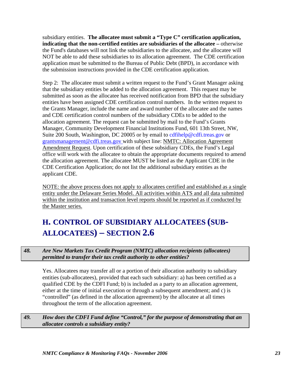subsidiary entities. **The allocatee must submit a "Type C" certification application, indicating that the non-certified entities are subsidiaries of the allocatee –** otherwise the Fund's databases will not link the subsidiaries to the allocatee, and the allocatee will NOT be able to add these subsidiaries to its allocation agreement. The CDE certification application must be submitted to the Bureau of Public Debt (BPD), in accordance with the submission instructions provided in the CDE certification application.

Step 2: The allocatee must submit a written request to the Fund's Grant Manager asking that the subsidiary entities be added to the allocation agreement. This request may be submitted as soon as the allocatee has received notification from BPD that the subsidiary entities have been assigned CDE certification control numbers. In the written request to the Grants Manager, include the name and award number of the allocatee and the names and CDE certification control numbers of the subsidiary CDEs to be added to the allocation agreement. The request can be submitted by mail to the Fund's Grants Manager, Community Development Financial Institutions Fund, 601 13th Street, NW, Suite 200 South, Washington, DC 20005 or by email to cdfihelp@cdfi.treas.gov or grantsmanagement@cdfi.treas.gov with subject line: NMTC: Allocation Agreement Amendment Request. Upon certification of these subsidiary CDEs, the Fund's Legal office will work with the allocatee to obtain the appropriate documents required to amend the allocation agreement. The allocatee MUST be listed as the Applicant CDE in the CDE Certification Application; do not list the additional subsidiary entities as the applicant CDE.

NOTE: the above process does not apply to allocatees certified and established as a single entity under the Delaware Series Model. All activities within ATS and all data submitted within the institution and transaction level reports should be reported as if conducted by the Master series.

# **H. CONTROL OF SUBSIDIARY ALLOCATEES (SUB-ALLOCATEES) – SECTION 2.6**

#### *48. Are New Markets Tax Credit Program (NMTC) allocation recipients (allocatees) permitted to transfer their tax credit authority to other entities?*

Yes. Allocatees may transfer all or a portion of their allocation authority to subsidiary entities (sub-allocatees), provided that each such subsidiary: a) has been certified as a qualified CDE by the CDFI Fund; b) is included as a party to an allocation agreement, either at the time of initial execution or through a subsequent amendment; and c) is "controlled" (as defined in the allocation agreement) by the allocatee at all times throughout the term of the allocation agreement.

*49. How does the CDFI Fund define "Control," for the purpose of demonstrating that an allocatee controls a subsidiary entity?*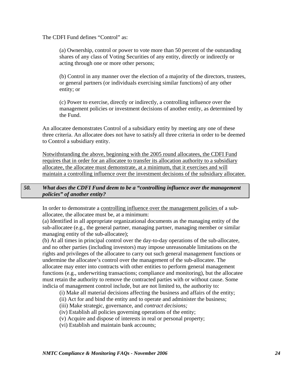The CDFI Fund defines "Control" as:

(a) Ownership, control or power to vote more than 50 percent of the outstanding shares of any class of Voting Securities of any entity, directly or indirectly or acting through one or more other persons;

(b) Control in any manner over the election of a majority of the directors, trustees, or general partners (or individuals exercising similar functions) of any other entity; or

(c) Power to exercise, directly or indirectly, a controlling influence over the management policies or investment decisions of another entity, as determined by the Fund.

An allocatee demonstrates Control of a subsidiary entity by meeting any one of these three criteria. An allocatee does not have to satisfy all three criteria in order to be deemed to Control a subsidiary entity.

Notwithstanding the above, beginning with the 2005 round allocatees, the CDFI Fund requires that in order for an allocatee to transfer its allocation authority to a subsidiary allocatee, the allocatee must demonstrate, at a minimum, that it exercises and will maintain a controlling influence over the investment decisions of the subsidiary allocatee.

#### *50. What does the CDFI Fund deem to be a "controlling influence over the management policies" of another entity?*

In order to demonstrate a controlling influence over the management policies of a suballocatee, the allocatee must be, at a minimum:

(a) Identified in all appropriate organizational documents as the managing entity of the sub-allocatee (e.g., the general partner, managing partner, managing member or similar managing entity of the sub-allocatee);

(b) At all times in principal control over the day-to-day operations of the sub-allocatee, and no other parties (including investors) may impose unreasonable limitations on the rights and privileges of the allocatee to carry out such general management functions or undermine the allocatee's control over the management of the sub-allocatee. The allocatee may enter into contracts with other entities to perform general management functions (e.g., underwriting transactions; compliance and monitoring), but the allocatee must retain the authority to remove the contracted parties with or without cause. Some indicia of management control include, but are not limited to, the authority to:

- (i) Make all material decisions affecting the business and affairs of the entity;
- (ii) Act for and bind the entity and to operate and administer the business;
- (iii) Make strategic, governance, and *contract decisions;*
- (iv) Establish all policies governing operations of the entity;
- (v) Acquire and dispose of interests in real or personal property;
- (vi) Establish and maintain bank accounts;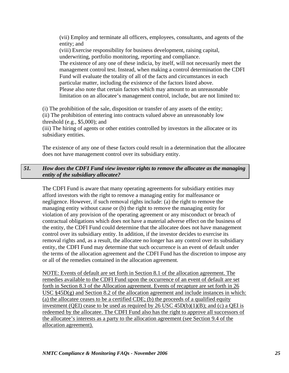(vii) Employ and terminate all officers, employees, consultants, and agents of the entity; and (viii) Exercise responsibility for business development, raising capital, underwriting, portfolio monitoring, reporting and compliance. The existence of any one of these indicia, by itself, will not necessarily meet the management control test. Instead, when making a control determination the CDFI Fund will evaluate the totality of all of the facts and circumstances in each particular matter, including the existence of the factors listed above. Please also note that certain factors which may amount to an unreasonable limitation on an allocatee's management control, include, but are not limited to:

(i) The prohibition of the sale, disposition or transfer of any assets of the entity; (ii) The prohibition of entering into contracts valued above an unreasonably low threshold (e.g., \$5,000); and

(iii) The hiring of agents or other entities controlled by investors in the allocatee or its subsidiary entities.

The existence of any one of these factors could result in a determination that the allocatee does not have management control over its subsidiary entity.

#### *51. How does the CDFI Fund view investor rights to remove the allocatee as the managing entity of the subsidiary allocatee?*

The CDFI Fund is aware that many operating agreements for subsidiary entities may afford investors with the right to remove a managing entity for malfeasance or negligence. However, if such removal rights include: (a) the right to remove the managing entity without cause or (b) the right to remove the managing entity for violation of any provision of the operating agreement or any misconduct or breach of contractual obligations which does not have a material adverse effect on the business of the entity, the CDFI Fund could determine that the allocatee does not have management control over its subsidiary entity. In addition, if the investor decides to exercise its removal rights and, as a result, the allocatee no longer has any control over its subsidiary entity, the CDFI Fund may determine that such occurrence is an event of default under the terms of the allocation agreement and the CDFI Fund has the discretion to impose any or all of the remedies contained in the allocation agreement*.* 

NOTE: Events of default are set forth in Section 8.1 of the allocation agreement. The remedies available to the CDFI Fund upon the occurrence of an event of default are set forth in Section 8.3 of the Allocation agreement. Events of recapture are set forth in 26 USC §45D(g) and Section 8.2 of the allocation agreement and include instances in which: (a) the allocatee ceases to be a certified CDE; (b) the proceeds of a qualified equity investment (QEI) cease to be used as required by 26 USC  $45D(b)(1)(B)$ ; and (c) a QEI is redeemed by the allocatee. The CDFI Fund also has the right to approve all successors of the allocatee's interests as a party to the allocation agreement (see Section 9.4 of the allocation agreement).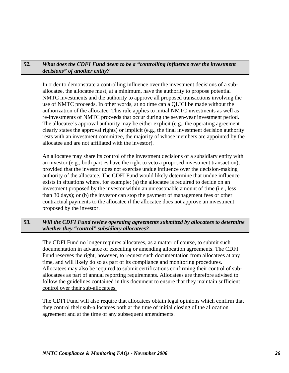#### *52. What does the CDFI Fund deem to be a "controlling influence over the investment decisions" of another entity?*

In order to demonstrate a controlling influence over the investment decisions of a suballocatee, the allocatee must, at a minimum, have the authority to propose potential NMTC investments and the authority to approve all proposed transactions involving the use of NMTC proceeds. In other words, at no time can a QLICI be made without the authorization of the allocatee. This rule applies to initial NMTC investments as well as re-investments of NMTC proceeds that occur during the seven-year investment period. The allocatee's approval authority may be either explicit (e.g., the operating agreement clearly states the approval rights) or implicit (e.g., the final investment decision authority rests with an investment committee, the majority of whose members are appointed by the allocatee and are not affiliated with the investor).

An allocatee may share its control of the investment decisions of a subsidiary entity with an investor (e.g., both parties have the right to veto a proposed investment transaction), provided that the investor does not exercise undue influence over the decision-making authority of the allocatee. The CDFI Fund would likely determine that undue influence exists in situations where, for example: (a) the allocatee is required to decide on an investment proposed by the investor within an unreasonable amount of time (i.e., less than 30 days); or (b) the investor can stop the payment of management fees or other contractual payments to the allocatee if the allocatee does not approve an investment proposed by the investor.

#### *53. Will the CDFI Fund review operating agreements submitted by allocatees to determine whether they "control" subsidiary allocatees?*

The CDFI Fund no longer requires allocatees, as a matter of course, to submit such documentation in advance of executing or amending allocation agreements. The CDFI Fund reserves the right, however, to request such documentation from allocatees at any time, and will likely do so as part of its compliance and monitoring procedures. Allocatees may also be required to submit certifications confirming their control of suballocatees as part of annual reporting requirements. Allocatees are therefore advised to follow the guidelines contained in this document to ensure that they maintain sufficient control over their sub-allocatees.

The CDFI Fund will also require that allocatees obtain legal opinions which confirm that they control their sub-allocatees both at the time of initial closing of the allocation agreement and at the time of any subsequent amendments.